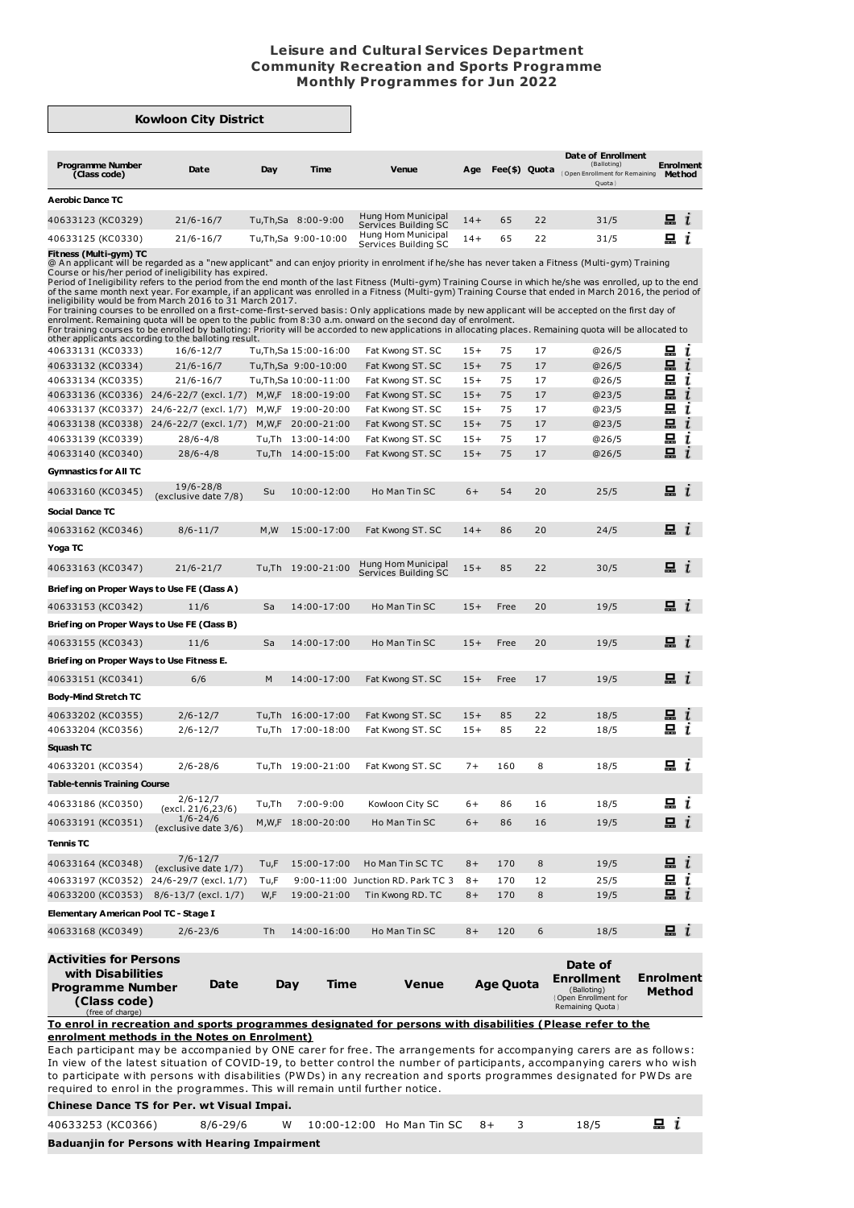## **Leisure and Cultural Services Department Community Recreation and Sports Programme Monthly Programmes for Jun 2022**

┓

| <b>Kowloon City District</b>                                                                                                                                                                        |                                      |       |                       |                                                                                                                                                                                                                                                                                                                                                                                                                                                                                                                                                                                                                                                                                                                                                                                                                                                                                                                  |       |                  |    |                                                                                         |                            |              |
|-----------------------------------------------------------------------------------------------------------------------------------------------------------------------------------------------------|--------------------------------------|-------|-----------------------|------------------------------------------------------------------------------------------------------------------------------------------------------------------------------------------------------------------------------------------------------------------------------------------------------------------------------------------------------------------------------------------------------------------------------------------------------------------------------------------------------------------------------------------------------------------------------------------------------------------------------------------------------------------------------------------------------------------------------------------------------------------------------------------------------------------------------------------------------------------------------------------------------------------|-------|------------------|----|-----------------------------------------------------------------------------------------|----------------------------|--------------|
| <b>Programme Number</b><br>(Class code)                                                                                                                                                             | Date                                 | Day   | Time                  | <b>Venue</b>                                                                                                                                                                                                                                                                                                                                                                                                                                                                                                                                                                                                                                                                                                                                                                                                                                                                                                     | Age   | Fee(\$) Quota    |    | Date of Enrollment<br>(Balloting)<br>Open Enrollment for Remaining<br>Quota             | <b>Enrolment</b><br>Method |              |
| <b>Aerobic Dance TC</b>                                                                                                                                                                             |                                      |       |                       |                                                                                                                                                                                                                                                                                                                                                                                                                                                                                                                                                                                                                                                                                                                                                                                                                                                                                                                  |       |                  |    |                                                                                         |                            |              |
| 40633123 (KC0329)                                                                                                                                                                                   | $21/6 - 16/7$                        |       | Tu,Th,Sa 8:00-9:00    | Hung Hom Municipal<br>Services Building SC                                                                                                                                                                                                                                                                                                                                                                                                                                                                                                                                                                                                                                                                                                                                                                                                                                                                       | $14+$ | 65               | 22 | 31/5                                                                                    | $\blacksquare$ $i$         |              |
| 40633125 (KC0330)                                                                                                                                                                                   | $21/6 - 16/7$                        |       | Tu, Th, Sa 9:00-10:00 | Hung Hom Municipal<br>Services Building SC                                                                                                                                                                                                                                                                                                                                                                                                                                                                                                                                                                                                                                                                                                                                                                                                                                                                       | $14+$ | 65               | 22 | 31/5                                                                                    | 묘                          | $\mathbf{I}$ |
| Fitness (Multi-gym) TC<br>Course or his/her period of ineligibility has expired.<br>ineligibility would be from March 2016 to 31 March 2017.<br>other applicants according to the balloting result. |                                      |       |                       | @ An applicant will be regarded as a "new applicant" and can enjoy priority in enrolment if he/she has never taken a Fitness (Multi-gym) Training<br>Period of Ineligibility refers to the period from the end month of the last Fitness (Multi-gym) Training Course in which he/she was enrolled, up to the end<br>of the same month next year. For example, if an applicant was enrolled in a Fitness (Multi-gym) Training Course that ended in March 2016, the period of<br>For training courses to be enrolled on a first-come-first-served basis: Only applications made by new applicant will be accepted on the first day of<br>enrolment. Remaining quota will be open to the public from 8:30 a.m. onward on the second day of enrolment.<br>For training courses to be enrolled by balloting: Priority will be accorded to new applications in allocating places. Remaining quota will be allocated to |       |                  |    |                                                                                         |                            |              |
| 40633131 (KC0333)                                                                                                                                                                                   | $16/6 - 12/7$                        |       | Tu,Th,Sa 15:00-16:00  | Fat Kwong ST. SC                                                                                                                                                                                                                                                                                                                                                                                                                                                                                                                                                                                                                                                                                                                                                                                                                                                                                                 | $15+$ | 75               | 17 | @26/5                                                                                   | 묘                          | ι            |
| 40633132 (KC0334)                                                                                                                                                                                   | $21/6 - 16/7$                        |       | Tu,Th,Sa 9:00-10:00   | Fat Kwong ST. SC                                                                                                                                                                                                                                                                                                                                                                                                                                                                                                                                                                                                                                                                                                                                                                                                                                                                                                 | $15+$ | 75               | 17 | @26/5                                                                                   | 묘                          | ı            |
| 40633134 (KC0335)                                                                                                                                                                                   | $21/6 - 16/7$                        |       | Tu,Th,Sa 10:00-11:00  | Fat Kwong ST. SC                                                                                                                                                                                                                                                                                                                                                                                                                                                                                                                                                                                                                                                                                                                                                                                                                                                                                                 | $15+$ | 75               | 17 | @26/5                                                                                   | 묘                          | ı            |
| 40633136 (KC0336) 24/6-22/7 (excl. 1/7)                                                                                                                                                             |                                      |       | M,W,F 18:00-19:00     | Fat Kwong ST. SC                                                                                                                                                                                                                                                                                                                                                                                                                                                                                                                                                                                                                                                                                                                                                                                                                                                                                                 | $15+$ | 75               | 17 | @23/5                                                                                   | 묘                          | ī            |
| 40633137 (KC0337) 24/6-22/7 (excl. 1/7)                                                                                                                                                             |                                      |       | M,W,F 19:00-20:00     | Fat Kwong ST. SC                                                                                                                                                                                                                                                                                                                                                                                                                                                                                                                                                                                                                                                                                                                                                                                                                                                                                                 | $15+$ | 75               | 17 | @23/5                                                                                   | 묘                          | ī            |
| 40633138 (KC0338)   24/6-22/7 (excl. 1/7)                                                                                                                                                           |                                      |       | M, W, F 20:00-21:00   | Fat Kwong ST. SC                                                                                                                                                                                                                                                                                                                                                                                                                                                                                                                                                                                                                                                                                                                                                                                                                                                                                                 | $15+$ | 75               | 17 | @23/5                                                                                   | 묘                          | ι            |
| 40633139 (KC0339)                                                                                                                                                                                   | $28/6 - 4/8$                         |       | Tu,Th 13:00-14:00     | Fat Kwong ST. SC                                                                                                                                                                                                                                                                                                                                                                                                                                                                                                                                                                                                                                                                                                                                                                                                                                                                                                 | $15+$ | 75               | 17 | @26/5                                                                                   | 묘                          | ı            |
| 40633140 (KC0340)                                                                                                                                                                                   | $28/6 - 4/8$                         |       | Tu,Th 14:00-15:00     | Fat Kwong ST. SC                                                                                                                                                                                                                                                                                                                                                                                                                                                                                                                                                                                                                                                                                                                                                                                                                                                                                                 | $15+$ | 75               | 17 | @26/5                                                                                   | 묘                          |              |
| Gymnastics for All TC                                                                                                                                                                               |                                      |       |                       |                                                                                                                                                                                                                                                                                                                                                                                                                                                                                                                                                                                                                                                                                                                                                                                                                                                                                                                  |       |                  |    |                                                                                         |                            |              |
| 40633160 (KC0345)                                                                                                                                                                                   | 19/6-28/8<br>(exclusive date 7/8)    | Su    | 10:00-12:00           | Ho Man Tin SC                                                                                                                                                                                                                                                                                                                                                                                                                                                                                                                                                                                                                                                                                                                                                                                                                                                                                                    | $6+$  | 54               | 20 | 25/5                                                                                    | $\Box$ i                   |              |
| Social Dance TC                                                                                                                                                                                     |                                      |       |                       |                                                                                                                                                                                                                                                                                                                                                                                                                                                                                                                                                                                                                                                                                                                                                                                                                                                                                                                  |       |                  |    |                                                                                         |                            |              |
| 40633162 (KC0346)                                                                                                                                                                                   | $8/6 - 11/7$                         | M, W  | 15:00-17:00           | Fat Kwong ST. SC                                                                                                                                                                                                                                                                                                                                                                                                                                                                                                                                                                                                                                                                                                                                                                                                                                                                                                 | $14+$ | 86               | 20 | 24/5                                                                                    | $\mathbf{a}$ $\mathbf{r}$  |              |
| Yoga TC                                                                                                                                                                                             |                                      |       |                       |                                                                                                                                                                                                                                                                                                                                                                                                                                                                                                                                                                                                                                                                                                                                                                                                                                                                                                                  |       |                  |    |                                                                                         |                            |              |
| 40633163 (KC0347)                                                                                                                                                                                   | $21/6 - 21/7$                        |       | Tu,Th 19:00-21:00     | Hung Hom Municipal<br>Services Building SC                                                                                                                                                                                                                                                                                                                                                                                                                                                                                                                                                                                                                                                                                                                                                                                                                                                                       | $15+$ | 85               | 22 | 30/5                                                                                    | $\Box$ $\iota$             |              |
| Briefing on Proper Ways to Use FE (Class A)                                                                                                                                                         |                                      |       |                       |                                                                                                                                                                                                                                                                                                                                                                                                                                                                                                                                                                                                                                                                                                                                                                                                                                                                                                                  |       |                  |    |                                                                                         |                            |              |
| 40633153 (KC0342)                                                                                                                                                                                   | 11/6                                 | Sa    | 14:00-17:00           | Ho Man Tin SC                                                                                                                                                                                                                                                                                                                                                                                                                                                                                                                                                                                                                                                                                                                                                                                                                                                                                                    | $15+$ | Free             | 20 | 19/5                                                                                    | m i                        |              |
| Briefing on Proper Ways to Use FE (Class B)                                                                                                                                                         |                                      |       |                       |                                                                                                                                                                                                                                                                                                                                                                                                                                                                                                                                                                                                                                                                                                                                                                                                                                                                                                                  |       |                  |    |                                                                                         |                            |              |
| 40633155 (KC0343)                                                                                                                                                                                   | 11/6                                 | Sa    | 14:00-17:00           | Ho Man Tin SC                                                                                                                                                                                                                                                                                                                                                                                                                                                                                                                                                                                                                                                                                                                                                                                                                                                                                                    | $15+$ | Free             | 20 | 19/5                                                                                    | e i                        |              |
| Briefing on Proper Ways to Use Fitness E.                                                                                                                                                           |                                      |       |                       |                                                                                                                                                                                                                                                                                                                                                                                                                                                                                                                                                                                                                                                                                                                                                                                                                                                                                                                  |       |                  |    |                                                                                         |                            |              |
| 40633151 (KC0341)                                                                                                                                                                                   | 6/6                                  | M     | 14:00-17:00           | Fat Kwong ST. SC                                                                                                                                                                                                                                                                                                                                                                                                                                                                                                                                                                                                                                                                                                                                                                                                                                                                                                 | $15+$ | Free             | 17 | 19/5                                                                                    | $\mathbf{u}$ i             |              |
| <b>Body-Mind Stretch TC</b>                                                                                                                                                                         |                                      |       |                       |                                                                                                                                                                                                                                                                                                                                                                                                                                                                                                                                                                                                                                                                                                                                                                                                                                                                                                                  |       |                  |    |                                                                                         |                            |              |
| 40633202 (KC0355)                                                                                                                                                                                   | $2/6 - 12/7$                         | Tu,Th | 16:00-17:00           | Fat Kwong ST. SC                                                                                                                                                                                                                                                                                                                                                                                                                                                                                                                                                                                                                                                                                                                                                                                                                                                                                                 | $15+$ | 85               | 22 | 18/5                                                                                    |                            |              |
| 40633204 (KC0356)                                                                                                                                                                                   | $2/6 - 12/7$                         | Tu,Th | 17:00-18:00           | Fat Kwong ST. SC                                                                                                                                                                                                                                                                                                                                                                                                                                                                                                                                                                                                                                                                                                                                                                                                                                                                                                 | $15+$ | 85               | 22 | 18/5                                                                                    | 묘                          |              |
| Squash TC                                                                                                                                                                                           |                                      |       |                       |                                                                                                                                                                                                                                                                                                                                                                                                                                                                                                                                                                                                                                                                                                                                                                                                                                                                                                                  |       |                  |    |                                                                                         |                            |              |
| 40633201 (KC0354)                                                                                                                                                                                   | $2/6 - 28/6$                         |       | Tu,Th 19:00-21:00     | Fat Kwong ST. SC                                                                                                                                                                                                                                                                                                                                                                                                                                                                                                                                                                                                                                                                                                                                                                                                                                                                                                 | $7+$  | 160              | 8  | 18/5                                                                                    | 묘 i                        |              |
| <b>Table-tennis Training Course</b>                                                                                                                                                                 |                                      |       |                       |                                                                                                                                                                                                                                                                                                                                                                                                                                                                                                                                                                                                                                                                                                                                                                                                                                                                                                                  |       |                  |    |                                                                                         |                            |              |
| 40633186 (KC0350)                                                                                                                                                                                   | $2/6 - 12/7$<br>(excl. 21/6,23/6)    | Tu,Th | $7:00-9:00$           | Kowloon City SC                                                                                                                                                                                                                                                                                                                                                                                                                                                                                                                                                                                                                                                                                                                                                                                                                                                                                                  | $6+$  | 86               | 16 | 18/5                                                                                    | $\Box$ $i$                 |              |
| 40633191 (KC0351)                                                                                                                                                                                   | $1/6 - 24/6$<br>(exclusive date 3/6) |       | M, W, F 18:00-20:00   | Ho Man Tin SC                                                                                                                                                                                                                                                                                                                                                                                                                                                                                                                                                                                                                                                                                                                                                                                                                                                                                                    | $6+$  | 86               | 16 | 19/5                                                                                    | $\mathbf{a}$ i             |              |
| <b>Tennis TC</b>                                                                                                                                                                                    |                                      |       |                       |                                                                                                                                                                                                                                                                                                                                                                                                                                                                                                                                                                                                                                                                                                                                                                                                                                                                                                                  |       |                  |    |                                                                                         |                            |              |
| 40633164 (KC0348)                                                                                                                                                                                   | $7/6 - 12/7$<br>(exclusive date 1/7) | Tu,F  | 15:00-17:00           | Ho Man Tin SC TC                                                                                                                                                                                                                                                                                                                                                                                                                                                                                                                                                                                                                                                                                                                                                                                                                                                                                                 | $8+$  | 170              | 8  | 19/5                                                                                    | $\mathbf{a}$ i             |              |
| 40633197 (KC0352)                                                                                                                                                                                   | 24/6-29/7 (excl. 1/7)                | Tu,F  |                       | 9:00-11:00 Junction RD. Park TC 3                                                                                                                                                                                                                                                                                                                                                                                                                                                                                                                                                                                                                                                                                                                                                                                                                                                                                | $8+$  | 170              | 12 | 25/5                                                                                    | 묘                          | ı            |
| 40633200 (KC0353) 8/6-13/7 (excl. 1/7)                                                                                                                                                              |                                      | W,F   | 19:00-21:00           | Tin Kwong RD. TC                                                                                                                                                                                                                                                                                                                                                                                                                                                                                                                                                                                                                                                                                                                                                                                                                                                                                                 | $8+$  | 170              | 8  | 19/5                                                                                    | 묘 $i$                      |              |
| Elementary American Pool TC - Stage I                                                                                                                                                               |                                      |       |                       |                                                                                                                                                                                                                                                                                                                                                                                                                                                                                                                                                                                                                                                                                                                                                                                                                                                                                                                  |       |                  |    |                                                                                         |                            |              |
| 40633168 (KC0349)                                                                                                                                                                                   | $2/6 - 23/6$                         | Th    | 14:00-16:00           | Ho Man Tin SC                                                                                                                                                                                                                                                                                                                                                                                                                                                                                                                                                                                                                                                                                                                                                                                                                                                                                                    | $8+$  | 120              | 6  | 18/5                                                                                    | $\mathbf{a}$ i             |              |
| <b>Activities for Persons</b><br>with Disabilities<br><b>Programme Number</b><br>(Class code)<br>(free of charge)                                                                                   | Date                                 | Day   | Time                  | Venue                                                                                                                                                                                                                                                                                                                                                                                                                                                                                                                                                                                                                                                                                                                                                                                                                                                                                                            |       | <b>Age Quota</b> |    | Date of<br>Enrollment<br>(Balloting)<br><b>Open Enrollment for</b><br>Remaining Quota } | Enrolment<br>Method        |              |

In view of the latest situation of COVID-19, to better control the number of participants, accompanying carers who wish to participate with persons with disabilities (PWDs) in any recreation and sports programmes designated for PWDs are required to enrol in the programmes. This will remain until further notice.

## **Chinese Dance TS for Per. wt Visual Impai.**

| 40633253 (KC0366)                                    |  |  |  | 8/6-29/6 W 10:00-12:00 Ho Man Tin SC 8+ 3 |  |  | 18/5 | $\Box$ $i$ |  |  |
|------------------------------------------------------|--|--|--|-------------------------------------------|--|--|------|------------|--|--|
| <b>Baduanjin for Persons with Hearing Impairment</b> |  |  |  |                                           |  |  |      |            |  |  |